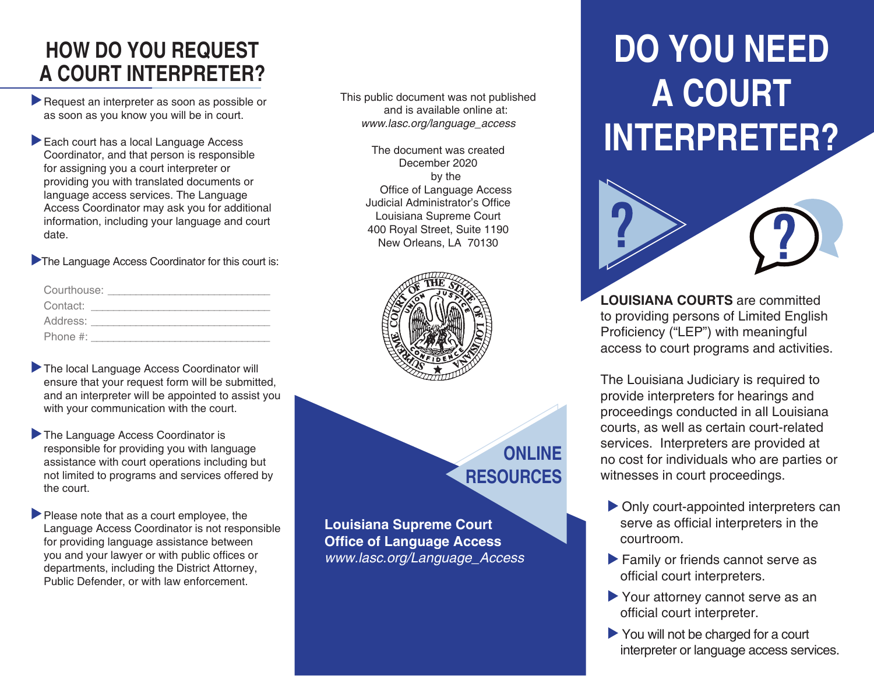#### **HOW DO YOU REQUEST A COURT INTERPRETER?**

- Request an interpreter as soon as possible or as soon as you know you will be in court.
- Each court has a local Language Access Coordinator, and that person is responsible for assigning you a court interpreter or providing you with translated documents or language access services. The Language Access Coordinator may ask you for additional information, including your language and court date.

The Language Access Coordinator for this court is:

| Courthouse: |  |
|-------------|--|
| Contact:    |  |
| Address:    |  |
| Phone $#$ : |  |

- The local Language Access Coordinator will ensure that your request form will be submitted, and an interpreter will be appointed to assist you with your communication with the court.
- The Language Access Coordinator is responsible for providing you with language assistance with court operations including but not limited to programs and services offered by the court.
- Please note that as a court employee, the Language Access Coordinator is not responsible for providing language assistance between you and your lawyer or with public offices or departments, including the District Attorney, Public Defender, or with law enforcement.

This public document was not published and is available online at: *www.lasc.org/language\_access*

> The document was created December 2020 by the Office of Language Access Judicial Administrator's Office Louisiana Supreme Court 400 Royal Street, Suite 1190 New Orleans, LA 70130



## **ONLINE RESOURCES**

**Louisiana Supreme Court Office of Language Access** *www.lasc.org/Language\_Access*

# **DO YOU NEED A COURT INTERPRETER?**



**LOUISIANA COURTS** are committed to providing persons of Limited English Proficiency ("LEP") with meaningful access to court programs and activities.

The Louisiana Judiciary is required to provide interpreters for hearings and proceedings conducted in all Louisiana courts, as well as certain court-related services. Interpreters are provided at no cost for individuals who are parties or witnesses in court proceedings.

- Only court-appointed interpreters can serve as official interpreters in the courtroom.
- Family or friends cannot serve as official court interpreters.
- Your attorney cannot serve as an official court interpreter.
- You will not be charged for a court interpreter or language access services.